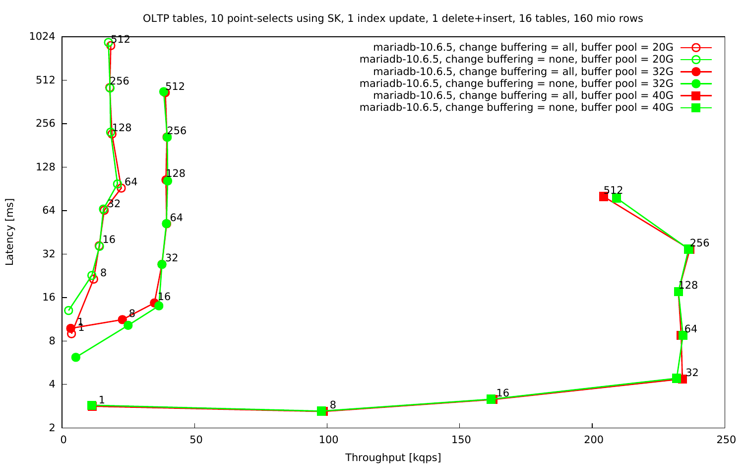OLTP tables, 10 point-selects using SK, 1 index update, 1 delete+insert, 16 tables, 160 mio rows

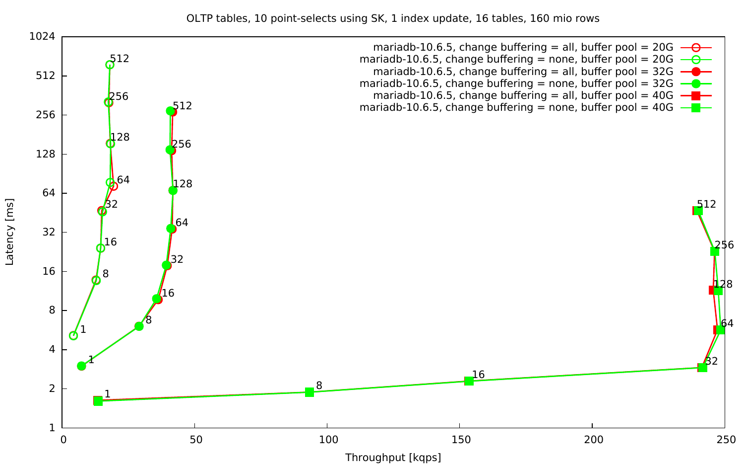OLTP tables, 10 point-selects using SK, 1 index update, 16 tables, 160 mio rows



Latency [ms] Latency [ms]